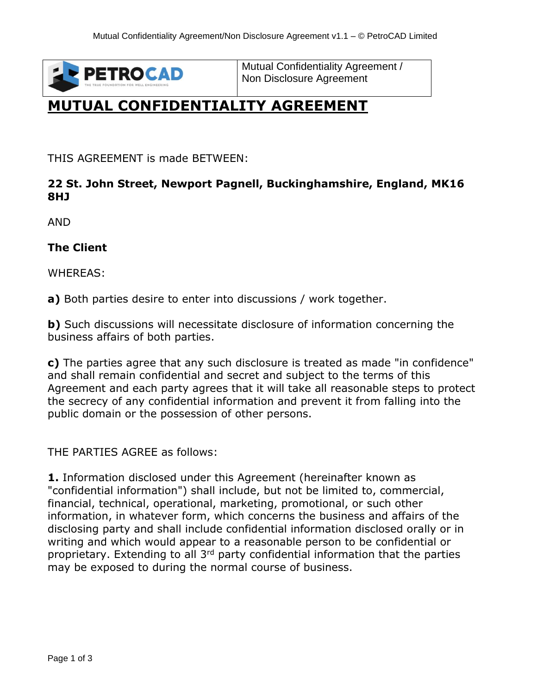

Mutual Confidentiality Agreement / Non Disclosure Agreement

## **MUTUAL CONFIDENTIALITY AGREEMENT**

THIS AGREEMENT is made BETWEEN:

## **22 St. John Street, Newport Pagnell, Buckinghamshire, England, MK16 8HJ**

AND

**The Client**

WHEREAS:

**a)** Both parties desire to enter into discussions / work together.

**b)** Such discussions will necessitate disclosure of information concerning the business affairs of both parties.

**c)** The parties agree that any such disclosure is treated as made "in confidence" and shall remain confidential and secret and subject to the terms of this Agreement and each party agrees that it will take all reasonable steps to protect the secrecy of any confidential information and prevent it from falling into the public domain or the possession of other persons.

THE PARTIES AGREE as follows:

**1.** Information disclosed under this Agreement (hereinafter known as "confidential information") shall include, but not be limited to, commercial, financial, technical, operational, marketing, promotional, or such other information, in whatever form, which concerns the business and affairs of the disclosing party and shall include confidential information disclosed orally or in writing and which would appear to a reasonable person to be confidential or proprietary. Extending to all 3<sup>rd</sup> party confidential information that the parties may be exposed to during the normal course of business.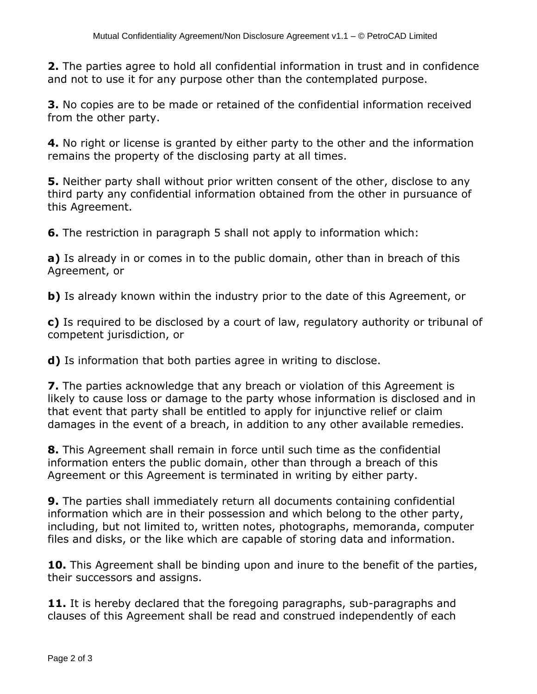**2.** The parties agree to hold all confidential information in trust and in confidence and not to use it for any purpose other than the contemplated purpose.

**3.** No copies are to be made or retained of the confidential information received from the other party.

**4.** No right or license is granted by either party to the other and the information remains the property of the disclosing party at all times.

**5.** Neither party shall without prior written consent of the other, disclose to any third party any confidential information obtained from the other in pursuance of this Agreement.

**6.** The restriction in paragraph 5 shall not apply to information which:

**a)** Is already in or comes in to the public domain, other than in breach of this Agreement, or

**b**) Is already known within the industry prior to the date of this Agreement, or

**c)** Is required to be disclosed by a court of law, regulatory authority or tribunal of competent jurisdiction, or

**d)** Is information that both parties agree in writing to disclose.

**7.** The parties acknowledge that any breach or violation of this Agreement is likely to cause loss or damage to the party whose information is disclosed and in that event that party shall be entitled to apply for injunctive relief or claim damages in the event of a breach, in addition to any other available remedies.

**8.** This Agreement shall remain in force until such time as the confidential information enters the public domain, other than through a breach of this Agreement or this Agreement is terminated in writing by either party.

**9.** The parties shall immediately return all documents containing confidential information which are in their possession and which belong to the other party, including, but not limited to, written notes, photographs, memoranda, computer files and disks, or the like which are capable of storing data and information.

**10.** This Agreement shall be binding upon and inure to the benefit of the parties, their successors and assigns.

**11.** It is hereby declared that the foregoing paragraphs, sub-paragraphs and clauses of this Agreement shall be read and construed independently of each